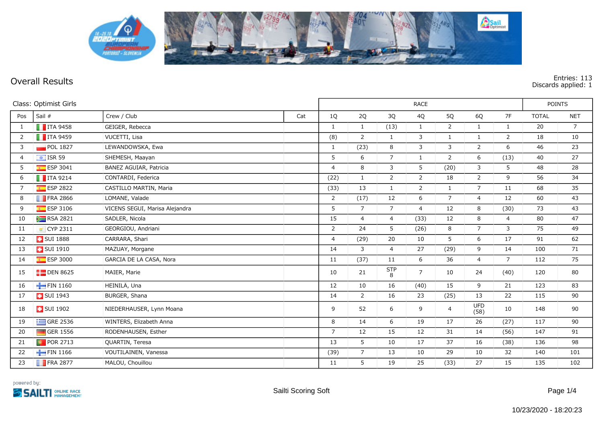

**Overall Results Entries: 113 Discards applied: 1**

| Class: Optimist Girls |                         |                                | <b>RACE</b> |                |                |                        |                |                |                    | <b>POINTS</b>  |              |                |
|-----------------------|-------------------------|--------------------------------|-------------|----------------|----------------|------------------------|----------------|----------------|--------------------|----------------|--------------|----------------|
| Pos                   | Sail #                  | Crew / Club                    | Cat         | 1Q             | 2Q             | 3Q                     | 4Q             | 5Q             | 6Q                 | 7F             | <b>TOTAL</b> | <b>NET</b>     |
| 1                     | $\blacksquare$ ITA 9458 | GEIGER, Rebecca                |             | 1              | $\mathbf{1}$   | (13)                   | $\mathbf{1}$   | $\overline{2}$ | $\mathbf{1}$       | $\mathbf{1}$   | 20           | $\overline{7}$ |
| 2                     | $\blacksquare$ ITA 9459 | VUCETTI, Lisa                  |             | (8)            | $\overline{2}$ | $\mathbf{1}$           | $\overline{3}$ | $\mathbf{1}$   | $\mathbf{1}$       | $\overline{2}$ | 18           | 10             |
| 3                     | $\blacksquare$ POL 1827 | LEWANDOWSKA, Ewa               |             | 1              | (23)           | 8                      | 3              | 3              | $\overline{2}$     | 6              | 46           | 23             |
| $\overline{4}$        | $\frac{1}{2}$ ISR 59    | SHEMESH, Maayan                |             | 5              | 6              | $\overline{7}$         | $\mathbf{1}$   | $\overline{2}$ | 6                  | (13)           | 40           | 27             |
| 5                     | $E$ ESP 3041            | BAÑEZ AGUIAR, Patricia         |             | $\overline{4}$ | 8              | 3                      | 5              | (20)           | $\overline{3}$     | 5              | 48           | 28             |
| 6                     | $\blacksquare$ ITA 9214 | CONTARDI, Federica             |             | (22)           | $\mathbf{1}$   | $\overline{2}$         | 2              | 18             | $\overline{2}$     | 9              | 56           | 34             |
| $\overline{7}$        | $E$ ESP 2822            | CASTILLO MARTIN, Maria         |             | (33)           | 13             | $\mathbf{1}$           | 2              | $\mathbf{1}$   | $\overline{7}$     | 11             | 68           | 35             |
| 8                     | $\blacksquare$ FRA 2866 | LOMANE, Valade                 |             | $\overline{2}$ | (17)           | 12                     | 6              | $\overline{7}$ | $\overline{4}$     | 12             | 60           | 43             |
| 9                     | $E$ ESP 3106            | VICENS SEGUI, Marisa Alejandra |             | 5              | $\overline{7}$ | $\overline{7}$         | $\overline{4}$ | 12             | 8                  | (30)           | 73           | 43             |
| 10                    | $R$ RSA 2821            | SADLER, Nicola                 |             | 15             | $\overline{4}$ | $\overline{4}$         | (33)           | 12             | 8                  | $\overline{4}$ | 80           | 47             |
| 11                    | ■ CYP 2311              | GEORGIOU, Andriani             |             | $\overline{2}$ | 24             | 5                      | (26)           | 8              | $\overline{7}$     | 3              | 75           | 49             |
| 12                    | <b>B</b> SUI 1888       | CARRARA, Shari                 |             | $\overline{4}$ | (29)           | 20                     | 10             | 5              | 6                  | 17             | 91           | 62             |
| 13                    | <b>B</b> SUI 1910       | MAZUAY, Morgane                |             | 14             | 3              | $\overline{4}$         | 27             | (29)           | 9                  | 14             | 100          | 71             |
| 14                    | $E = ESP 3000$          | GARCIA DE LA CASA, Nora        |             | 11             | (37)           | 11                     | 6              | 36             | $\overline{4}$     | $\overline{7}$ | 112          | 75             |
| 15                    | $\Box$ DEN 8625         | MAIER, Marie                   |             | 10             | 21             | $rac{\mathsf{STP}}{8}$ | $\overline{7}$ | 10             | 24                 | (40)           | 120          | 80             |
| 16                    | FIN 1160                | HEINILA, Una                   |             | 12             | 10             | 16                     | (40)           | 15             | 9                  | 21             | 123          | 83             |
| 17                    | <b>B</b> SUI 1943       | BURGER, Shana                  |             | 14             | $\overline{2}$ | 16                     | 23             | (25)           | 13                 | 22             | 115          | 90             |
| 18                    | <b>B</b> SUI 1902       | NIEDERHAUSER, Lynn Moana       |             | 9              | 52             | 6                      | 9              | $\overline{4}$ | <b>UFD</b><br>(58) | 10             | 148          | 90             |
| 19                    | $\equiv$ GRE 2536       | WINTERS, Elizabeth Anna        |             | 8              | 14             | 6                      | 19             | 17             | 26                 | (27)           | 117          | 90             |
| 20                    | $\Box$ GER 1556         | RODENHAUSEN, Esther            |             | $\overline{7}$ | 12             | 15                     | 12             | 31             | 14                 | (56)           | 147          | 91             |
| 21                    | <b>D</b> POR 2713       | QUARTIN, Teresa                |             | 13             | 5              | 10                     | 17             | 37             | 16                 | (38)           | 136          | 98             |
| 22                    | FIN 1166                | VOUTILAINEN, Vanessa           |             | (39)           | $\overline{7}$ | 13                     | 10             | 29             | 10                 | 32             | 140          | 101            |
| 23                    | $\blacksquare$ FRA 2877 | MALOU, Chouillou               |             | 11             | 5              | 19                     | 25             | (33)           | $27$               | 15             | 135          | 102            |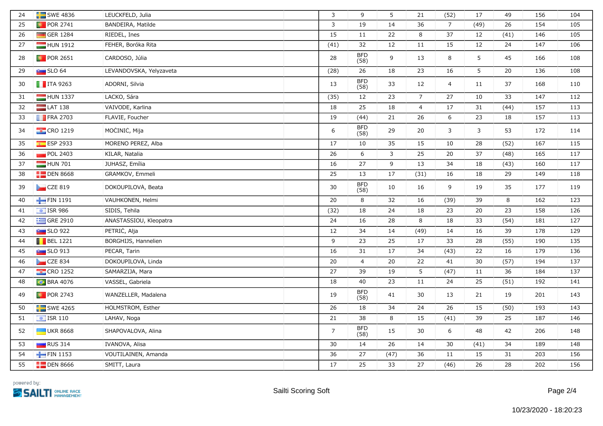| 24 | $SWE$ 4836               | LEUCKFELD, Julia        | 3              | 9                  | 5    | 21             | (52)           | 17             | 49   | 156 | 104 |
|----|--------------------------|-------------------------|----------------|--------------------|------|----------------|----------------|----------------|------|-----|-----|
| 25 | <b>D</b> POR 2741        | BANDEIRA, Matilde       | 3              | 19                 | 14   | 36             | $\overline{7}$ | (49)           | 26   | 154 | 105 |
| 26 | GER 1284                 | RIEDEL, Ines            | 15             | 11                 | 22   | 8              | 37             | 12             | (41) | 146 | 105 |
| 27 | HUN 1912                 | FEHER, Boróka Rita      | (41)           | 32                 | 12   | 11             | 15             | 12             | 24   | 147 | 106 |
| 28 | <b>D</b> POR 2651        | CARDOSO, Júlia          | 28             | <b>BFD</b><br>(58) | 9    | 13             | 8              | $5\phantom{.}$ | 45   | 166 | 108 |
| 29 | $\sim$ SLO 64            | LEVANDOVSKA, Yelyzaveta | (28)           | 26                 | 18   | 23             | 16             | 5              | 20   | 136 | 108 |
| 30 | $\blacksquare$ ITA 9263  | ADORNI, Silvia          | 13             | <b>BFD</b><br>(58) | 33   | 12             | $\overline{4}$ | 11             | 37   | 168 | 110 |
| 31 | $HUN$ 1337               | LACKÓ, Sára             | (35)           | 12                 | 23   | $\overline{7}$ | 27             | 10             | 33   | 147 | 112 |
| 32 | $LAT$ 138                | VAIVODE, Karlina        | 18             | 25                 | 18   | $\overline{4}$ | 17             | 31             | (44) | 157 | 113 |
| 33 | $\blacksquare$ FRA 2703  | FLAVIE, Foucher         | 19             | (44)               | 21   | 26             | 6              | 23             | 18   | 157 | 113 |
| 34 | $\frac{1}{2}$ CRO 1219   | MOCINIC, Mija           | 6              | <b>BFD</b><br>(58) | 29   | 20             | $\mathbf{3}$   | $\mathbf{3}$   | 53   | 172 | 114 |
| 35 | $ESP$ 2933               | MORENO PEREZ, Alba      | 17             | 10                 | 35   | 15             | 10             | 28             | (52) | 167 | 115 |
| 36 | POL 2403                 | KILAR, Natalia          | 26             | 6                  | 3    | 25             | 20             | 37             | (48) | 165 | 117 |
| 37 | HUN 701                  | JUHASZ, Emília          | 16             | 27                 | 9    | 13             | 34             | 18             | (43) | 160 | 117 |
| 38 | $\Box$ DEN 8668          | GRAMKOV, Emmeli         | 25             | 13                 | 17   | (31)           | 16             | 18             | 29   | 149 | 118 |
| 39 | CZE 819                  | DOKOUPILOVÁ, Beata      | 30             | <b>BFD</b><br>(58) | 10   | 16             | 9              | 19             | 35   | 177 | 119 |
| 40 | FIN 1191                 | VAUHKONEN, Helmi        | 20             | 8                  | 32   | 16             | (39)           | 39             | 8    | 162 | 123 |
| 41 | $\frac{1}{2}$ ISR 986    | SIDIS, Tehila           | (32)           | 18                 | 24   | 18             | 23             | 20             | 23   | 158 | 126 |
| 42 | $\equiv$ GRE 2910        | ANASTASSIOU, Kleopatra  | 24             | 16                 | 28   | 8              | 18             | 33             | (54) | 181 | 127 |
| 43 | <b>Buy</b> SLO 922       | PETRIC, Alja            | 12             | 34                 | 14   | (49)           | 14             | 16             | 39   | 178 | 129 |
| 44 | $\blacksquare$ BEL 1221  | BORGHIJS, Hannelien     | 9              | 23                 | 25   | 17             | 33             | 28             | (55) | 190 | 135 |
| 45 | <b>Extra SLO 913</b>     | PECAR, Tarin            | 16             | 31                 | 17   | 34             | (43)           | 22             | 16   | 179 | 136 |
| 46 | CZE 834                  | DOKOUPILOVÁ, Linda      | 20             | $\overline{4}$     | 20   | 22             | 41             | 30             | (57) | 194 | 137 |
| 47 | $\frac{12}{12}$ CRO 1252 | SAMARŻIJA, Mara         | 27             | 39                 | 19   | $5\phantom{.}$ | (47)           | $11\,$         | 36   | 184 | 137 |
| 48 | <b>BRA 4076</b>          | VASSEL, Gabriela        | 18             | 40                 | 23   | 11             | 24             | 25             | (51) | 192 | 141 |
| 49 | <b>D</b> POR 2743        | WANZELLER, Madalena     | 19             | <b>BFD</b><br>(58) | 41   | 30             | 13             | 21             | 19   | 201 | 143 |
| 50 | $\blacksquare$ SWE 4265  | HOLMSTRÖM, Esther       | 26             | 18                 | 34   | 24             | 26             | 15             | (50) | 193 | 143 |
| 51 | $\boxed{=}$ ISR 110      | LAHAV, Noga             | 21             | 38                 | 8    | 15             | (41)           | 39             | 25   | 187 | 146 |
| 52 | <b>UKR 8668</b>          | SHAPOVALOVA, Alina      | $\overline{7}$ | <b>BFD</b><br>(58) | 15   | 30             | 6              | 48             | 42   | 206 | 148 |
| 53 | $\Box$ RUS 314           | IVANOVA, Alisa          | 30             | 14                 | 26   | 14             | 30             | (41)           | 34   | 189 | 148 |
| 54 | FIN 1153                 | VOUTILAINEN, Amanda     | 36             | 27                 | (47) | 36             | 11             | 15             | 31   | 203 | 156 |
| 55 | $\Box$ DEN 8666          | SMITT, Laura            | 17             | 25                 | 33   | 27             | (46)           | 26             | 28   | 202 | 156 |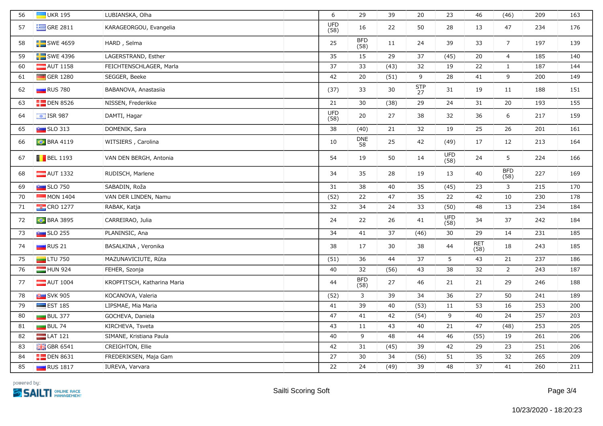| 56 | $\blacksquare$ UKR 195  | LUBIANSKA, Olha             | 6                  | 29                 | 39   | 20               | 23                 | 46                 | (46)               | 209 | 163 |
|----|-------------------------|-----------------------------|--------------------|--------------------|------|------------------|--------------------|--------------------|--------------------|-----|-----|
| 57 | $\equiv$ GRE 2811       | KARAGEORGOU, Evangelia      | <b>UFD</b><br>(58) | 16                 | 22   | 50               | 28                 | 13                 | 47                 | 234 | 176 |
| 58 | SWE 4659                | HĂRD, Selma                 | 25                 | <b>BFD</b><br>(58) | 11   | 24               | 39                 | 33                 | 7 <sup>7</sup>     | 197 | 139 |
| 59 | $SWE$ 4396              | LAGERSTRAND, Esther         | 35                 | 15                 | 29   | 37               | (45)               | 20                 | $\overline{4}$     | 185 | 140 |
| 60 | $\blacksquare$ AUT 1158 | FEICHTENSCHLAGER, Marla     | 37                 | 33                 | (43) | 32               | 19                 | 22                 | $\mathbf{1}$       | 187 | 144 |
| 61 | GER 1280                | SEGGER, Beeke               | 42                 | 20                 | (51) | 9                | 28                 | 41                 | 9                  | 200 | 149 |
| 62 | $\Box$ RUS 780          | BABANOVA, Anastasiia        | (37)               | 33                 | 30   | <b>STP</b><br>27 | 31                 | 19                 | 11                 | 188 | 151 |
| 63 | $\Box$ DEN 8526         | NISSEN, Frederikke          | 21                 | 30                 | (38) | 29               | 24                 | 31                 | $20\,$             | 193 | 155 |
| 64 | $\frac{1}{2}$ ISR 987   | DAMTI, Hagar                | <b>UFD</b><br>(58) | 20                 | 27   | 38               | 32                 | 36                 | 6                  | 217 | 159 |
| 65 | $\sim$ SLO 313          | DOMENIK, Sara               | 38                 | (40)               | 21   | 32               | 19                 | 25                 | 26                 | 201 | 161 |
| 66 | <b>BRA 4119</b>         | WITSIERS, Carolina          | 10                 | <b>DNE</b><br>58   | 25   | 42               | (49)               | 17                 | 12                 | 213 | 164 |
| 67 | $\blacksquare$ BEL 1193 | VAN DEN BERGH, Antonia      | 54                 | 19                 | 50   | 14               | UFD<br>(58)        | 24                 | 5                  | 224 | 166 |
| 68 | $\blacksquare$ AUT 1332 | RUDISCH, Marlene            | 34                 | 35                 | 28   | 19               | 13                 | 40                 | <b>BFD</b><br>(58) | 227 | 169 |
| 69 | $\sim$ SLO 750          | SABADIN, Roža               | 31                 | 38                 | 40   | 35               | (45)               | 23                 | 3                  | 215 | 170 |
| 70 | $\blacksquare$ MON 1404 | VAN DER LINDEN, Namu        | (52)               | 22                 | 47   | 35               | 22                 | 42                 | 10                 | 230 | 178 |
| 71 | $\frac{1}{2}$ CRO 1277  | RABAK, Katja                | 32                 | 34                 | 24   | 33               | (50)               | 48                 | 13                 | 234 | 184 |
| 72 | <b>C</b> BRA 3895       | CARREIRÃO, Julia            | 24                 | 22                 | 26   | 41               | <b>UFD</b><br>(58) | 34                 | 37                 | 242 | 184 |
| 73 | $\sim$ SLO 255          | PLANINSIC, Ana              | 34                 | 41                 | 37   | (46)             | $30\,$             | 29                 | 14                 | 231 | 185 |
| 74 | $\Box$ RUS 21           | BASALKINA, Veronika         | 38                 | 17                 | 30   | 38               | 44                 | <b>RET</b><br>(58) | 18                 | 243 | 185 |
| 75 | $\Box$ LTU 750          | MAŻUNAVICIUTE, Rūta         | (51)               | 36                 | 44   | 37               | 5                  | 43                 | $21\,$             | 237 | 186 |
| 76 | HUN 924                 | FEHER, Szonja               | 40                 | 32                 | (56) | 43               | 38                 | 32                 | $2^{\circ}$        | 243 | 187 |
| 77 | $\blacksquare$ AUT 1004 | KROPFITSCH, Katharina Maria | 44                 | <b>BFD</b><br>(58) | 27   | 46               | 21                 | $21\,$             | 29                 | 246 | 188 |
| 78 | <b>P</b> SVK 905        | KOCANOVA, Valeria           | (52)               | 3                  | 39   | 34               | 36                 | 27                 | 50                 | 241 | 189 |
| 79 | $\equiv$ EST 185        | LIPSMÄE, Mia Maria          | 41                 | 39                 | 40   | (53)             | 11                 | 53                 | 16                 | 253 | 200 |
| 80 | $BUL$ 377               | GOCHEVA, Daniela            | 47                 | 41                 | 42   | (54)             | 9                  | 40                 | 24                 | 257 | 203 |
| 81 | $BUL$ 74                | KIRCHEVA, Tsveta            | 43                 | 11                 | 43   | 40               | 21                 | 47                 | (48)               | 253 | 205 |
| 82 | $LAT$ 121               | SIMANE, Kristiana Paula     | 40                 | 9                  | 48   | 44               | 46                 | (55)               | 19                 | 261 | 206 |
| 83 | $\frac{1}{26}$ GBR 6541 | CREIGHTON, Ellie            | 42                 | 31                 | (45) | 39               | 42                 | 29                 | 23                 | 251 | 206 |
| 84 | $\Box$ DEN 8631         | FREDERIKSEN, Maja Gam       | 27                 | 30                 | 34   | (56)             | 51                 | 35                 | 32                 | 265 | 209 |
| 85 | <b>RUS</b> 1817         | IUREVA, Varvara             | 22                 | 24                 | (49) | 39               | 48                 | 37                 | 41                 | 260 | 211 |